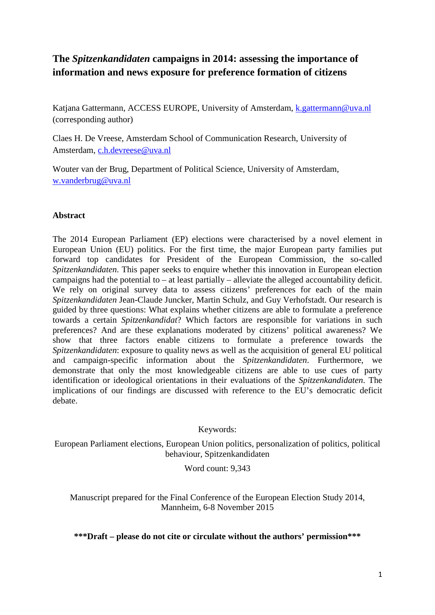# **The** *Spitzenkandidaten* **campaigns in 2014: assessing the importance of information and news exposure for preference formation of citizens**

Katjana Gattermann, ACCESS EUROPE, University of Amsterdam, [k.gattermann@uva.nl](mailto:k.gattermann@uva.nl) (corresponding author)

Claes H. De Vreese, Amsterdam School of Communication Research, University of Amsterdam, [c.h.devreese@uva.nl](mailto:c.h.devreese@uva.nl)

Wouter van der Brug, Department of Political Science, University of Amsterdam, [w.vanderbrug@uva.nl](mailto:w.vanderbrug@uva.nl)

### **Abstract**

The 2014 European Parliament (EP) elections were characterised by a novel element in European Union (EU) politics. For the first time, the major European party families put forward top candidates for President of the European Commission, the so-called *Spitzenkandidaten*. This paper seeks to enquire whether this innovation in European election campaigns had the potential to – at least partially – alleviate the alleged accountability deficit. We rely on original survey data to assess citizens' preferences for each of the main *Spitzenkandidaten* Jean-Claude Juncker, Martin Schulz, and Guy Verhofstadt. Our research is guided by three questions: What explains whether citizens are able to formulate a preference towards a certain *Spitzenkandidat*? Which factors are responsible for variations in such preferences? And are these explanations moderated by citizens' political awareness? We show that three factors enable citizens to formulate a preference towards the *Spitzenkandidaten*: exposure to quality news as well as the acquisition of general EU political and campaign-specific information about the *Spitzenkandidaten*. Furthermore, we demonstrate that only the most knowledgeable citizens are able to use cues of party identification or ideological orientations in their evaluations of the *Spitzenkandidaten*. The implications of our findings are discussed with reference to the EU's democratic deficit debate.

Keywords:

European Parliament elections, European Union politics, personalization of politics, political behaviour, Spitzenkandidaten

Word count: 9,343

Manuscript prepared for the Final Conference of the European Election Study 2014, Mannheim, 6-8 November 2015

**\*\*\*Draft – please do not cite or circulate without the authors' permission\*\*\***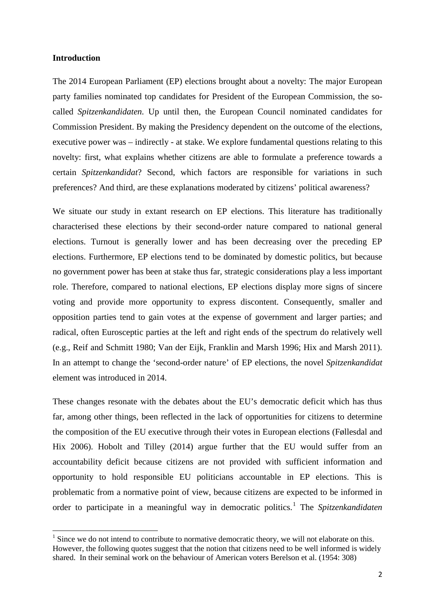#### **Introduction**

**.** 

The 2014 European Parliament (EP) elections brought about a novelty: The major European party families nominated top candidates for President of the European Commission, the socalled *Spitzenkandidaten.* Up until then, the European Council nominated candidates for Commission President. By making the Presidency dependent on the outcome of the elections, executive power was – indirectly - at stake. We explore fundamental questions relating to this novelty: first, what explains whether citizens are able to formulate a preference towards a certain *Spitzenkandidat*? Second, which factors are responsible for variations in such preferences? And third, are these explanations moderated by citizens' political awareness?

We situate our study in extant research on EP elections. This literature has traditionally characterised these elections by their second-order nature compared to national general elections. Turnout is generally lower and has been decreasing over the preceding EP elections. Furthermore, EP elections tend to be dominated by domestic politics, but because no government power has been at stake thus far, strategic considerations play a less important role. Therefore, compared to national elections, EP elections display more signs of sincere voting and provide more opportunity to express discontent. Consequently, smaller and opposition parties tend to gain votes at the expense of government and larger parties; and radical, often Eurosceptic parties at the left and right ends of the spectrum do relatively well (e.g., Reif and Schmitt 1980; Van der Eijk, Franklin and Marsh 1996; Hix and Marsh 2011). In an attempt to change the 'second-order nature' of EP elections, the novel *Spitzenkandidat* element was introduced in 2014.

These changes resonate with the debates about the EU's democratic deficit which has thus far, among other things, been reflected in the lack of opportunities for citizens to determine the composition of the EU executive through their votes in European elections (Føllesdal and Hix 2006). Hobolt and Tilley (2014) argue further that the EU would suffer from an accountability deficit because citizens are not provided with sufficient information and opportunity to hold responsible EU politicians accountable in EP elections. This is problematic from a normative point of view, because citizens are expected to be informed in order to participate in a meaningful way in democratic politics.<sup>[1](#page-1-0)</sup> The *Spitzenkandidaten* 

<span id="page-1-0"></span> $<sup>1</sup>$  Since we do not intend to contribute to normative democratic theory, we will not elaborate on this.</sup> However, the following quotes suggest that the notion that citizens need to be well informed is widely shared. In their seminal work on the behaviour of American voters Berelson et al. (1954: 308)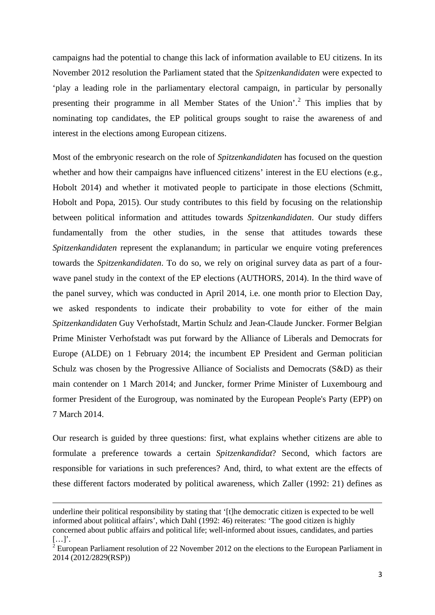campaigns had the potential to change this lack of information available to EU citizens. In its November 2012 resolution the Parliament stated that the *Spitzenkandidaten* were expected to 'play a leading role in the parliamentary electoral campaign, in particular by personally presenting their programme in all Member States of the Union'.<sup>[2](#page-2-0)</sup> This implies that by nominating top candidates, the EP political groups sought to raise the awareness of and interest in the elections among European citizens.

Most of the embryonic research on the role of *Spitzenkandidaten* has focused on the question whether and how their campaigns have influenced citizens' interest in the EU elections (e.g., Hobolt 2014) and whether it motivated people to participate in those elections (Schmitt, Hobolt and Popa, 2015). Our study contributes to this field by focusing on the relationship between political information and attitudes towards *Spitzenkandidaten*. Our study differs fundamentally from the other studies, in the sense that attitudes towards these *Spitzenkandidaten* represent the explanandum; in particular we enquire voting preferences towards the *Spitzenkandidaten*. To do so, we rely on original survey data as part of a fourwave panel study in the context of the EP elections (AUTHORS, 2014). In the third wave of the panel survey, which was conducted in April 2014, i.e. one month prior to Election Day, we asked respondents to indicate their probability to vote for either of the main *Spitzenkandidaten* Guy Verhofstadt, Martin Schulz and Jean-Claude Juncker. Former Belgian Prime Minister Verhofstadt was put forward by the Alliance of Liberals and Democrats for Europe (ALDE) on 1 February 2014; the incumbent EP President and German politician Schulz was chosen by the Progressive Alliance of Socialists and Democrats (S&D) as their main contender on 1 March 2014; and Juncker, former Prime Minister of Luxembourg and former President of the Eurogroup, was nominated by the European People's Party (EPP) on 7 March 2014.

Our research is guided by three questions: first, what explains whether citizens are able to formulate a preference towards a certain *Spitzenkandidat*? Second, which factors are responsible for variations in such preferences? And, third, to what extent are the effects of these different factors moderated by political awareness, which Zaller (1992: 21) defines as

 $\overline{a}$ 

underline their political responsibility by stating that '[t]he democratic citizen is expected to be well informed about political affairs', which Dahl (1992: 46) reiterates: 'The good citizen is highly concerned about public affairs and political life; well-informed about issues, candidates, and parties […]'.

<span id="page-2-0"></span> $2$  European Parliament resolution of 22 November 2012 on the elections to the European Parliament in 2014 (2012/2829(RSP))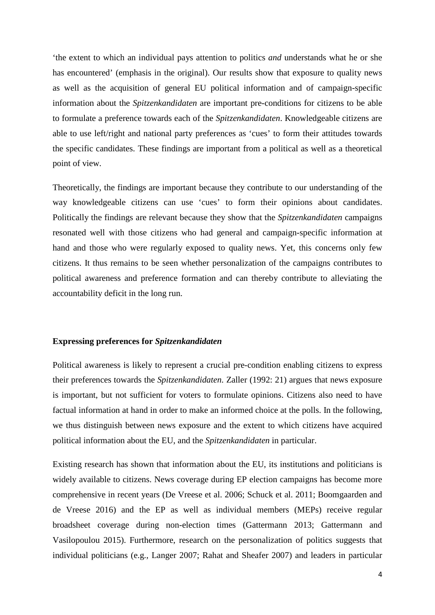'the extent to which an individual pays attention to politics *and* understands what he or she has encountered' (emphasis in the original). Our results show that exposure to quality news as well as the acquisition of general EU political information and of campaign-specific information about the *Spitzenkandidaten* are important pre-conditions for citizens to be able to formulate a preference towards each of the *Spitzenkandidaten*. Knowledgeable citizens are able to use left/right and national party preferences as 'cues' to form their attitudes towards the specific candidates. These findings are important from a political as well as a theoretical point of view.

Theoretically, the findings are important because they contribute to our understanding of the way knowledgeable citizens can use 'cues' to form their opinions about candidates. Politically the findings are relevant because they show that the *Spitzenkandidaten* campaigns resonated well with those citizens who had general and campaign-specific information at hand and those who were regularly exposed to quality news. Yet, this concerns only few citizens. It thus remains to be seen whether personalization of the campaigns contributes to political awareness and preference formation and can thereby contribute to alleviating the accountability deficit in the long run.

### **Expressing preferences for** *Spitzenkandidaten*

Political awareness is likely to represent a crucial pre-condition enabling citizens to express their preferences towards the *Spitzenkandidaten*. Zaller (1992: 21) argues that news exposure is important, but not sufficient for voters to formulate opinions. Citizens also need to have factual information at hand in order to make an informed choice at the polls. In the following, we thus distinguish between news exposure and the extent to which citizens have acquired political information about the EU, and the *Spitzenkandidaten* in particular.

Existing research has shown that information about the EU, its institutions and politicians is widely available to citizens. News coverage during EP election campaigns has become more comprehensive in recent years (De Vreese et al. 2006; Schuck et al. 2011; Boomgaarden and de Vreese 2016) and the EP as well as individual members (MEPs) receive regular broadsheet coverage during non-election times (Gattermann 2013; Gattermann and Vasilopoulou 2015). Furthermore, research on the personalization of politics suggests that individual politicians (e.g., Langer 2007; Rahat and Sheafer 2007) and leaders in particular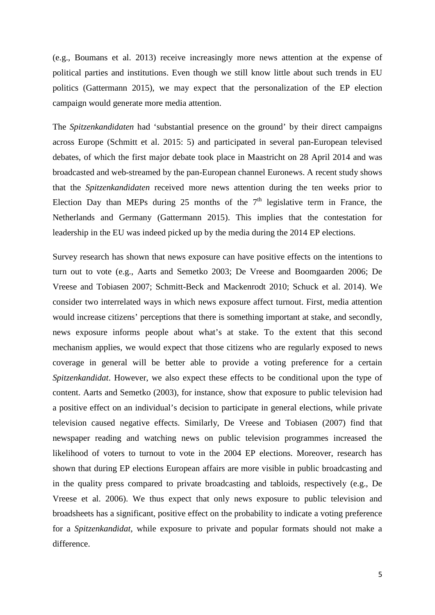(e.g., Boumans et al. 2013) receive increasingly more news attention at the expense of political parties and institutions. Even though we still know little about such trends in EU politics (Gattermann 2015), we may expect that the personalization of the EP election campaign would generate more media attention.

The *Spitzenkandidaten* had 'substantial presence on the ground' by their direct campaigns across Europe (Schmitt et al. 2015: 5) and participated in several pan-European televised debates, of which the first major debate took place in Maastricht on 28 April 2014 and was broadcasted and web-streamed by the pan-European channel Euronews. A recent study shows that the *Spitzenkandidaten* received more news attention during the ten weeks prior to Election Day than MEPs during 25 months of the  $7<sup>th</sup>$  legislative term in France, the Netherlands and Germany (Gattermann 2015). This implies that the contestation for leadership in the EU was indeed picked up by the media during the 2014 EP elections.

Survey research has shown that news exposure can have positive effects on the intentions to turn out to vote (e.g., Aarts and Semetko 2003; De Vreese and Boomgaarden 2006; De Vreese and Tobiasen 2007; Schmitt-Beck and Mackenrodt 2010; Schuck et al. 2014). We consider two interrelated ways in which news exposure affect turnout. First, media attention would increase citizens' perceptions that there is something important at stake, and secondly, news exposure informs people about what's at stake. To the extent that this second mechanism applies, we would expect that those citizens who are regularly exposed to news coverage in general will be better able to provide a voting preference for a certain *Spitzenkandidat*. However, we also expect these effects to be conditional upon the type of content. Aarts and Semetko (2003), for instance, show that exposure to public television had a positive effect on an individual's decision to participate in general elections, while private television caused negative effects. Similarly, De Vreese and Tobiasen (2007) find that newspaper reading and watching news on public television programmes increased the likelihood of voters to turnout to vote in the 2004 EP elections. Moreover, research has shown that during EP elections European affairs are more visible in public broadcasting and in the quality press compared to private broadcasting and tabloids, respectively (e.g., De Vreese et al. 2006). We thus expect that only news exposure to public television and broadsheets has a significant, positive effect on the probability to indicate a voting preference for a *Spitzenkandidat*, while exposure to private and popular formats should not make a difference.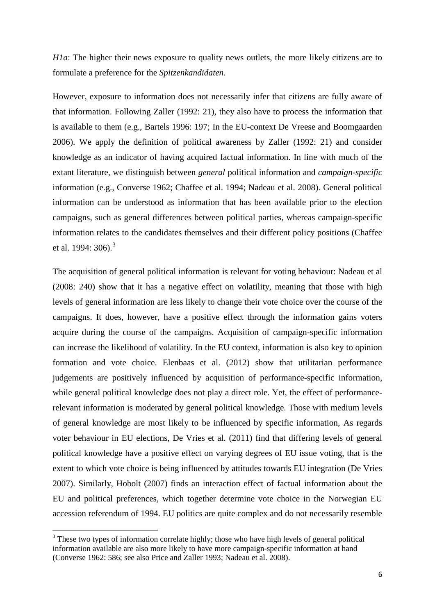*H1a*: The higher their news exposure to quality news outlets, the more likely citizens are to formulate a preference for the *Spitzenkandidaten*.

However, exposure to information does not necessarily infer that citizens are fully aware of that information. Following Zaller (1992: 21), they also have to process the information that is available to them (e.g., Bartels 1996: 197; In the EU-context De Vreese and Boomgaarden 2006). We apply the definition of political awareness by Zaller (1992: 21) and consider knowledge as an indicator of having acquired factual information. In line with much of the extant literature, we distinguish between *general* political information and *campaign-specific* information (e.g., Converse 1962; Chaffee et al. 1994; Nadeau et al. 2008). General political information can be understood as information that has been available prior to the election campaigns, such as general differences between political parties, whereas campaign-specific information relates to the candidates themselves and their different policy positions (Chaffee et al. 1994: [3](#page-5-0)06).<sup>3</sup>

The acquisition of general political information is relevant for voting behaviour: Nadeau et al (2008: 240) show that it has a negative effect on volatility, meaning that those with high levels of general information are less likely to change their vote choice over the course of the campaigns. It does, however, have a positive effect through the information gains voters acquire during the course of the campaigns. Acquisition of campaign-specific information can increase the likelihood of volatility. In the EU context, information is also key to opinion formation and vote choice. Elenbaas et al. (2012) show that utilitarian performance judgements are positively influenced by acquisition of performance-specific information, while general political knowledge does not play a direct role. Yet, the effect of performancerelevant information is moderated by general political knowledge. Those with medium levels of general knowledge are most likely to be influenced by specific information, As regards voter behaviour in EU elections, De Vries et al. (2011) find that differing levels of general political knowledge have a positive effect on varying degrees of EU issue voting, that is the extent to which vote choice is being influenced by attitudes towards EU integration (De Vries 2007). Similarly, Hobolt (2007) finds an interaction effect of factual information about the EU and political preferences, which together determine vote choice in the Norwegian EU accession referendum of 1994. EU politics are quite complex and do not necessarily resemble

**.** 

<span id="page-5-0"></span><sup>&</sup>lt;sup>3</sup> These two types of information correlate highly; those who have high levels of general political information available are also more likely to have more campaign-specific information at hand (Converse 1962: 586; see also Price and Zaller 1993; Nadeau et al. 2008).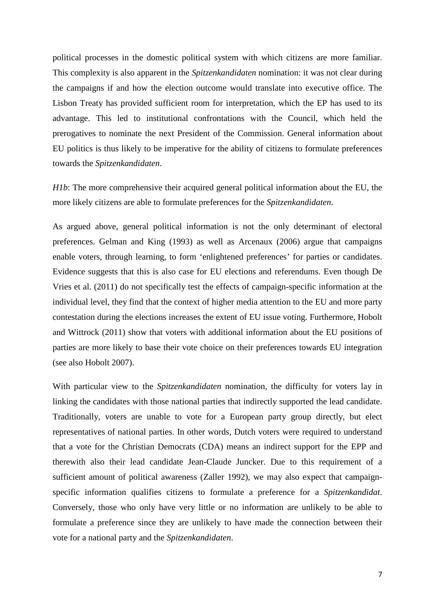political processes in the domestic political system with which citizens are more familiar. This complexity is also apparent in the *Spitzenkandidaten* nomination: it was not clear during the campaigns if and how the election outcome would translate into executive office. The Lisbon Treaty has provided sufficient room for interpretation, which the EP has used to its advantage. This led to institutional confrontations with the Council, which held the prerogatives to nominate the next President of the Commission. General information about EU politics is thus likely to be imperative for the ability of citizens to formulate preferences towards the *Spitzenkandidaten*.

*H1b*: The more comprehensive their acquired general political information about the EU, the more likely citizens are able to formulate preferences for the *Spitzenkandidaten*.

As argued above, general political information is not the only determinant of electoral preferences. Gelman and King (1993) as well as Arcenaux (2006) argue that campaigns enable voters, through learning, to form 'enlightened preferences' for parties or candidates. Evidence suggests that this is also case for EU elections and referendums. Even though De Vries et al. (2011) do not specifically test the effects of campaign-specific information at the individual level, they find that the context of higher media attention to the EU and more party contestation during the elections increases the extent of EU issue voting. Furthermore, Hobolt and Wittrock (2011) show that voters with additional information about the EU positions of parties are more likely to base their vote choice on their preferences towards EU integration (see also Hobolt 2007).

With particular view to the *Spitzenkandidaten* nomination, the difficulty for voters lay in linking the candidates with those national parties that indirectly supported the lead candidate. Traditionally, voters are unable to vote for a European party group directly, but elect representatives of national parties. In other words, Dutch voters were required to understand that a vote for the Christian Democrats (CDA) means an indirect support for the EPP and therewith also their lead candidate Jean-Claude Juncker. Due to this requirement of a sufficient amount of political awareness (Zaller 1992), we may also expect that campaignspecific information qualifies citizens to formulate a preference for a *Spitzenkandidat*. Conversely, those who only have very little or no information are unlikely to be able to formulate a preference since they are unlikely to have made the connection between their vote for a national party and the *Spitzenkandidaten*.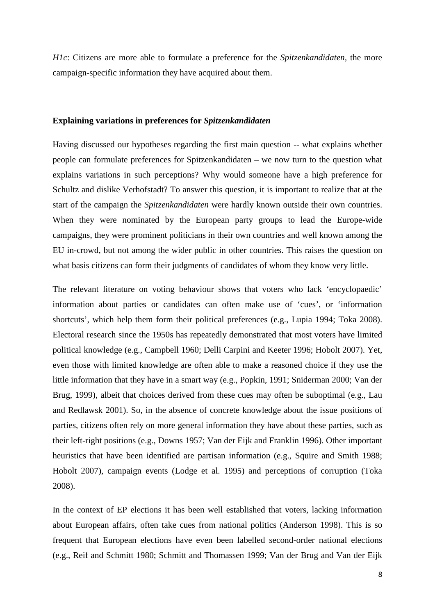*H1c*: Citizens are more able to formulate a preference for the *Spitzenkandidaten,* the more campaign-specific information they have acquired about them.

#### **Explaining variations in preferences for** *Spitzenkandidaten*

Having discussed our hypotheses regarding the first main question -- what explains whether people can formulate preferences for Spitzenkandidaten – we now turn to the question what explains variations in such perceptions? Why would someone have a high preference for Schultz and dislike Verhofstadt? To answer this question, it is important to realize that at the start of the campaign the *Spitzenkandidaten* were hardly known outside their own countries. When they were nominated by the European party groups to lead the Europe-wide campaigns, they were prominent politicians in their own countries and well known among the EU in-crowd, but not among the wider public in other countries. This raises the question on what basis citizens can form their judgments of candidates of whom they know very little.

The relevant literature on voting behaviour shows that voters who lack 'encyclopaedic' information about parties or candidates can often make use of 'cues', or 'information shortcuts', which help them form their political preferences (e.g., Lupia 1994; Toka 2008). Electoral research since the 1950s has repeatedly demonstrated that most voters have limited political knowledge (e.g., Campbell 1960; Delli Carpini and Keeter 1996; Hobolt 2007). Yet, even those with limited knowledge are often able to make a reasoned choice if they use the little information that they have in a smart way (e.g., Popkin, 1991; Sniderman 2000; Van der Brug, 1999), albeit that choices derived from these cues may often be suboptimal (e.g., Lau and Redlawsk 2001). So, in the absence of concrete knowledge about the issue positions of parties, citizens often rely on more general information they have about these parties, such as their left-right positions (e.g., Downs 1957; Van der Eijk and Franklin 1996). Other important heuristics that have been identified are partisan information (e.g., Squire and Smith 1988; Hobolt 2007), campaign events (Lodge et al. 1995) and perceptions of corruption (Toka 2008).

In the context of EP elections it has been well established that voters, lacking information about European affairs, often take cues from national politics (Anderson 1998). This is so frequent that European elections have even been labelled second-order national elections (e.g., Reif and Schmitt 1980; Schmitt and Thomassen 1999; Van der Brug and Van der Eijk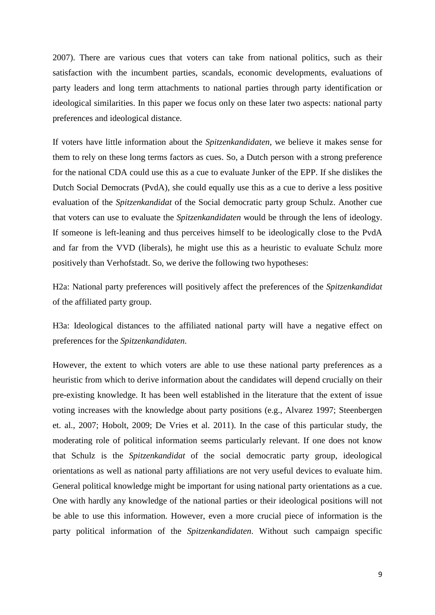2007). There are various cues that voters can take from national politics, such as their satisfaction with the incumbent parties, scandals, economic developments, evaluations of party leaders and long term attachments to national parties through party identification or ideological similarities. In this paper we focus only on these later two aspects: national party preferences and ideological distance.

If voters have little information about the *Spitzenkandidaten*, we believe it makes sense for them to rely on these long terms factors as cues. So, a Dutch person with a strong preference for the national CDA could use this as a cue to evaluate Junker of the EPP. If she dislikes the Dutch Social Democrats (PvdA), she could equally use this as a cue to derive a less positive evaluation of the *Spitzenkandidat* of the Social democratic party group Schulz. Another cue that voters can use to evaluate the *Spitzenkandidaten* would be through the lens of ideology. If someone is left-leaning and thus perceives himself to be ideologically close to the PvdA and far from the VVD (liberals), he might use this as a heuristic to evaluate Schulz more positively than Verhofstadt. So, we derive the following two hypotheses:

H2a: National party preferences will positively affect the preferences of the *Spitzenkandidat* of the affiliated party group.

H3a: Ideological distances to the affiliated national party will have a negative effect on preferences for the *Spitzenkandidaten*.

However, the extent to which voters are able to use these national party preferences as a heuristic from which to derive information about the candidates will depend crucially on their pre-existing knowledge. It has been well established in the literature that the extent of issue voting increases with the knowledge about party positions (e.g., Alvarez 1997; Steenbergen et. al., 2007; Hobolt, 2009; De Vries et al. 2011). In the case of this particular study, the moderating role of political information seems particularly relevant. If one does not know that Schulz is the *Spitzenkandidat* of the social democratic party group, ideological orientations as well as national party affiliations are not very useful devices to evaluate him. General political knowledge might be important for using national party orientations as a cue. One with hardly any knowledge of the national parties or their ideological positions will not be able to use this information. However, even a more crucial piece of information is the party political information of the *Spitzenkandidaten*. Without such campaign specific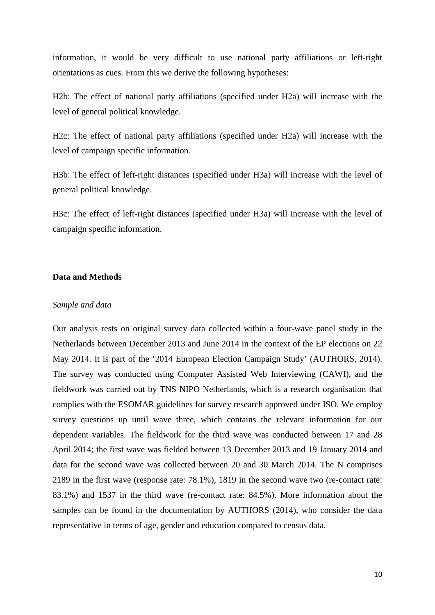information, it would be very difficult to use national party affiliations or left-right orientations as cues. From this we derive the following hypotheses:

H2b: The effect of national party affiliations (specified under H2a) will increase with the level of general political knowledge.

H2c: The effect of national party affiliations (specified under H2a) will increase with the level of campaign specific information.

H3b: The effect of left-right distances (specified under H3a) will increase with the level of general political knowledge.

H3c: The effect of left-right distances (specified under H3a) will increase with the level of campaign specific information.

#### **Data and Methods**

#### *Sample and data*

Our analysis rests on original survey data collected within a four-wave panel study in the Netherlands between December 2013 and June 2014 in the context of the EP elections on 22 May 2014. It is part of the '2014 European Election Campaign Study' (AUTHORS, 2014). The survey was conducted using Computer Assisted Web Interviewing (CAWI), and the fieldwork was carried out by TNS NIPO Netherlands, which is a research organisation that complies with the ESOMAR guidelines for survey research approved under ISO. We employ survey questions up until wave three, which contains the relevant information for our dependent variables. The fieldwork for the third wave was conducted between 17 and 28 April 2014; the first wave was fielded between 13 December 2013 and 19 January 2014 and data for the second wave was collected between 20 and 30 March 2014. The N comprises 2189 in the first wave (response rate: 78.1%), 1819 in the second wave two (re-contact rate: 83.1%) and 1537 in the third wave (re-contact rate: 84.5%). More information about the samples can be found in the documentation by AUTHORS (2014), who consider the data representative in terms of age, gender and education compared to census data.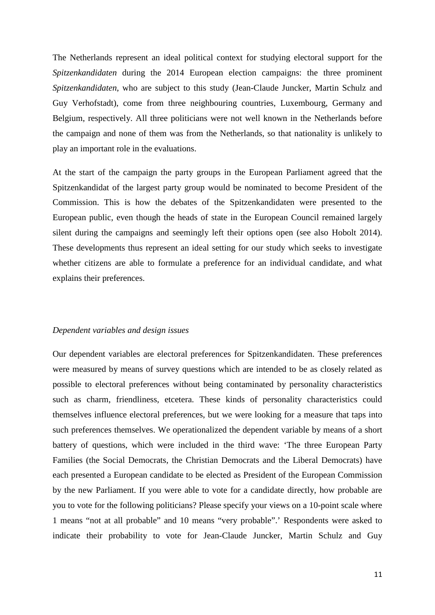The Netherlands represent an ideal political context for studying electoral support for the *Spitzenkandidaten* during the 2014 European election campaigns: the three prominent *Spitzenkandidaten*, who are subject to this study (Jean-Claude Juncker, Martin Schulz and Guy Verhofstadt), come from three neighbouring countries, Luxembourg, Germany and Belgium, respectively. All three politicians were not well known in the Netherlands before the campaign and none of them was from the Netherlands, so that nationality is unlikely to play an important role in the evaluations.

At the start of the campaign the party groups in the European Parliament agreed that the Spitzenkandidat of the largest party group would be nominated to become President of the Commission. This is how the debates of the Spitzenkandidaten were presented to the European public, even though the heads of state in the European Council remained largely silent during the campaigns and seemingly left their options open (see also Hobolt 2014). These developments thus represent an ideal setting for our study which seeks to investigate whether citizens are able to formulate a preference for an individual candidate, and what explains their preferences.

#### *Dependent variables and design issues*

Our dependent variables are electoral preferences for Spitzenkandidaten. These preferences were measured by means of survey questions which are intended to be as closely related as possible to electoral preferences without being contaminated by personality characteristics such as charm, friendliness, etcetera. These kinds of personality characteristics could themselves influence electoral preferences, but we were looking for a measure that taps into such preferences themselves. We operationalized the dependent variable by means of a short battery of questions, which were included in the third wave: 'The three European Party Families (the Social Democrats, the Christian Democrats and the Liberal Democrats) have each presented a European candidate to be elected as President of the European Commission by the new Parliament. If you were able to vote for a candidate directly, how probable are you to vote for the following politicians? Please specify your views on a 10-point scale where 1 means "not at all probable" and 10 means "very probable".' Respondents were asked to indicate their probability to vote for Jean-Claude Juncker, Martin Schulz and Guy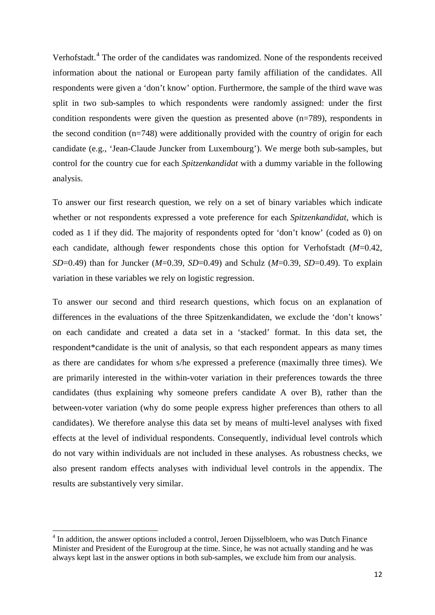Verhofstadt.<sup>[4](#page-11-0)</sup> The order of the candidates was randomized. None of the respondents received information about the national or European party family affiliation of the candidates. All respondents were given a 'don't know' option. Furthermore, the sample of the third wave was split in two sub-samples to which respondents were randomly assigned: under the first condition respondents were given the question as presented above (n=789), respondents in the second condition (n=748) were additionally provided with the country of origin for each candidate (e.g., 'Jean-Claude Juncker from Luxembourg'). We merge both sub-samples, but control for the country cue for each *Spitzenkandidat* with a dummy variable in the following analysis.

To answer our first research question, we rely on a set of binary variables which indicate whether or not respondents expressed a vote preference for each *Spitzenkandidat*, which is coded as 1 if they did. The majority of respondents opted for 'don't know' (coded as 0) on each candidate, although fewer respondents chose this option for Verhofstadt (*M*=0.42, *SD*=0.49) than for Juncker (*M*=0.39, *SD*=0.49) and Schulz (*M*=0.39, *SD*=0.49). To explain variation in these variables we rely on logistic regression.

To answer our second and third research questions, which focus on an explanation of differences in the evaluations of the three Spitzenkandidaten, we exclude the 'don't knows' on each candidate and created a data set in a 'stacked' format. In this data set, the respondent\*candidate is the unit of analysis, so that each respondent appears as many times as there are candidates for whom s/he expressed a preference (maximally three times). We are primarily interested in the within-voter variation in their preferences towards the three candidates (thus explaining why someone prefers candidate A over B), rather than the between-voter variation (why do some people express higher preferences than others to all candidates). We therefore analyse this data set by means of multi-level analyses with fixed effects at the level of individual respondents. Consequently, individual level controls which do not vary within individuals are not included in these analyses. As robustness checks, we also present random effects analyses with individual level controls in the appendix. The results are substantively very similar.

**.** 

<span id="page-11-0"></span><sup>&</sup>lt;sup>4</sup> In addition, the answer options included a control, Jeroen Dijsselbloem, who was Dutch Finance Minister and President of the Eurogroup at the time. Since, he was not actually standing and he was always kept last in the answer options in both sub-samples, we exclude him from our analysis.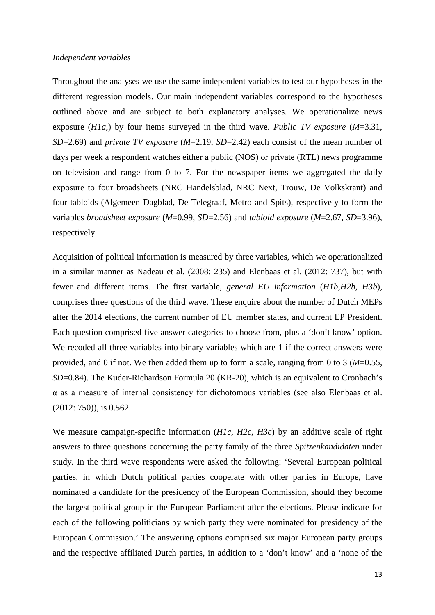#### *Independent variables*

Throughout the analyses we use the same independent variables to test our hypotheses in the different regression models. Our main independent variables correspond to the hypotheses outlined above and are subject to both explanatory analyses. We operationalize news exposure (*H1a,*) by four items surveyed in the third wave. *Public TV exposure* (*M*=3.31, *SD*=2.69) and *private TV exposure* (*M*=2.19, *SD*=2.42) each consist of the mean number of days per week a respondent watches either a public (NOS) or private (RTL) news programme on television and range from 0 to 7. For the newspaper items we aggregated the daily exposure to four broadsheets (NRC Handelsblad, NRC Next, Trouw, De Volkskrant) and four tabloids (Algemeen Dagblad, De Telegraaf, Metro and Spits), respectively to form the variables *broadsheet exposure* (*M*=0.99, *SD*=2.56) and *tabloid exposure* (*M*=2.67, *SD*=3.96), respectively.

Acquisition of political information is measured by three variables, which we operationalized in a similar manner as Nadeau et al. (2008: 235) and Elenbaas et al. (2012: 737), but with fewer and different items. The first variable, *general EU information* (*H1b,H2b, H3b*), comprises three questions of the third wave. These enquire about the number of Dutch MEPs after the 2014 elections, the current number of EU member states, and current EP President. Each question comprised five answer categories to choose from, plus a 'don't know' option. We recoded all three variables into binary variables which are 1 if the correct answers were provided, and 0 if not. We then added them up to form a scale, ranging from 0 to 3 (*M*=0.55, *SD*=0.84). The Kuder-Richardson Formula 20 (KR-20), which is an equivalent to Cronbach's α as a measure of internal consistency for dichotomous variables (see also Elenbaas et al. (2012: 750)), is 0.562.

We measure campaign-specific information (*H1c, H2c, H3c*) by an additive scale of right answers to three questions concerning the party family of the three *Spitzenkandidaten* under study. In the third wave respondents were asked the following: 'Several European political parties, in which Dutch political parties cooperate with other parties in Europe, have nominated a candidate for the presidency of the European Commission, should they become the largest political group in the European Parliament after the elections. Please indicate for each of the following politicians by which party they were nominated for presidency of the European Commission.' The answering options comprised six major European party groups and the respective affiliated Dutch parties, in addition to a 'don't know' and a 'none of the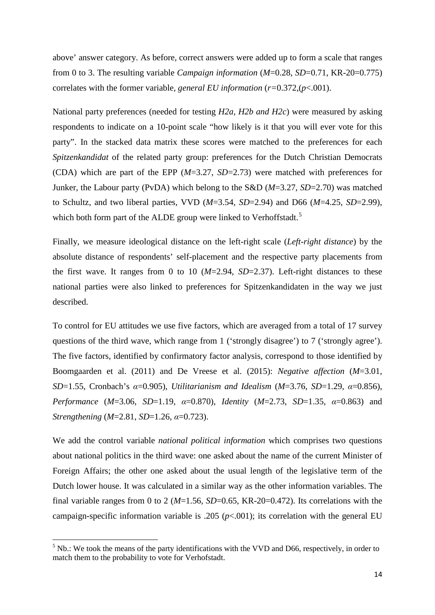above' answer category. As before, correct answers were added up to form a scale that ranges from 0 to 3. The resulting variable *Campaign information* (*M*=0.28, *SD*=0.71, KR-20=0.775) correlates with the former variable, *general EU information* (*r=*0.372,(*p*<.001).

National party preferences (needed for testing *H2a, H2b and H2c*) were measured by asking respondents to indicate on a 10-point scale "how likely is it that you will ever vote for this party". In the stacked data matrix these scores were matched to the preferences for each *Spitzenkandidat* of the related party group: preferences for the Dutch Christian Democrats (CDA) which are part of the EPP (*M*=3.27, *SD*=2.73) were matched with preferences for Junker, the Labour party (PvDA) which belong to the S&D (*M*=3.27, *SD*=2.70) was matched to Schultz, and two liberal parties, VVD (*M*=3.54, *SD*=2.94) and D66 (*M*=4.25, *SD*=2.99), which both form part of the ALDE group were linked to Verhoffstadt.<sup>[5](#page-13-0)</sup>

Finally, we measure ideological distance on the left-right scale (*Left-right distance*) by the absolute distance of respondents' self-placement and the respective party placements from the first wave. It ranges from 0 to 10  $(M=2.94, SD=2.37)$ . Left-right distances to these national parties were also linked to preferences for Spitzenkandidaten in the way we just described.

To control for EU attitudes we use five factors, which are averaged from a total of 17 survey questions of the third wave, which range from 1 ('strongly disagree') to 7 ('strongly agree'). The five factors, identified by confirmatory factor analysis, correspond to those identified by Boomgaarden et al. (2011) and De Vreese et al. (2015): *Negative affection* (*M*=3.01, *SD*=1.55, Cronbach's *α*=0.905), *Utilitarianism and Idealism* (*M*=3.76, *SD*=1.29, *α*=0.856), *Performance* (*M*=3.06, *SD*=1.19, *α*=0.870), *Identity* (*M*=2.73, *SD*=1.35, *α*=0.863) and *Strengthening* (*M*=2.81, *SD*=1.26, *α*=0.723).

We add the control variable *national political information* which comprises two questions about national politics in the third wave: one asked about the name of the current Minister of Foreign Affairs; the other one asked about the usual length of the legislative term of the Dutch lower house. It was calculated in a similar way as the other information variables. The final variable ranges from 0 to 2 (*M*=1.56, *SD*=0.65, KR-20=0.472). Its correlations with the campaign-specific information variable is .205 ( $p<.001$ ); its correlation with the general EU

 $\overline{a}$ 

<span id="page-13-0"></span> $<sup>5</sup>$  Nb.: We took the means of the party identifications with the VVD and D66, respectively, in order to</sup> match them to the probability to vote for Verhofstadt.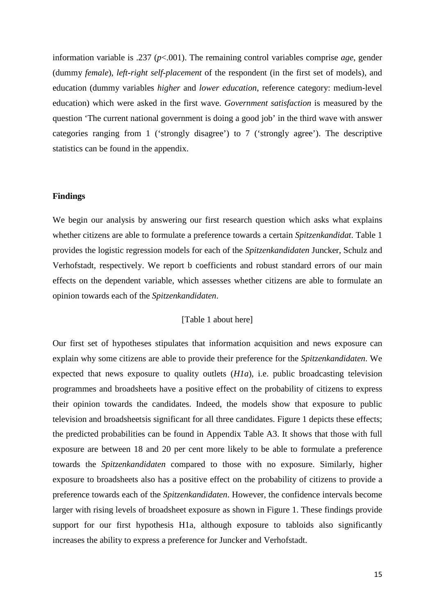information variable is .237 (*p*<.001). The remaining control variables comprise *age*, gender (dummy *female*), *left-right self-placement* of the respondent (in the first set of models), and education (dummy variables *higher* and *lower education*, reference category: medium-level education) which were asked in the first wave. *Government satisfaction* is measured by the question 'The current national government is doing a good job' in the third wave with answer categories ranging from 1 ('strongly disagree') to 7 ('strongly agree'). The descriptive statistics can be found in the appendix.

#### **Findings**

We begin our analysis by answering our first research question which asks what explains whether citizens are able to formulate a preference towards a certain *Spitzenkandidat*. Table 1 provides the logistic regression models for each of the *Spitzenkandidaten* Juncker, Schulz and Verhofstadt, respectively. We report b coefficients and robust standard errors of our main effects on the dependent variable, which assesses whether citizens are able to formulate an opinion towards each of the *Spitzenkandidaten*.

#### [Table 1 about here]

Our first set of hypotheses stipulates that information acquisition and news exposure can explain why some citizens are able to provide their preference for the *Spitzenkandidaten*. We expected that news exposure to quality outlets (*H1a*), i.e. public broadcasting television programmes and broadsheets have a positive effect on the probability of citizens to express their opinion towards the candidates. Indeed, the models show that exposure to public television and broadsheetsis significant for all three candidates. Figure 1 depicts these effects; the predicted probabilities can be found in Appendix Table A3. It shows that those with full exposure are between 18 and 20 per cent more likely to be able to formulate a preference towards the *Spitzenkandidaten* compared to those with no exposure. Similarly, higher exposure to broadsheets also has a positive effect on the probability of citizens to provide a preference towards each of the *Spitzenkandidaten*. However, the confidence intervals become larger with rising levels of broadsheet exposure as shown in Figure 1. These findings provide support for our first hypothesis H1a, although exposure to tabloids also significantly increases the ability to express a preference for Juncker and Verhofstadt.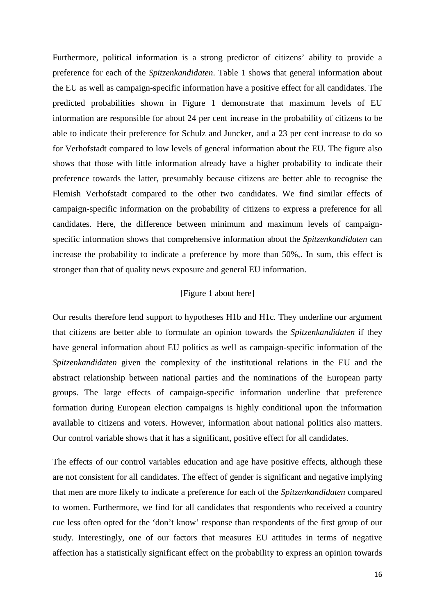Furthermore, political information is a strong predictor of citizens' ability to provide a preference for each of the *Spitzenkandidaten*. Table 1 shows that general information about the EU as well as campaign-specific information have a positive effect for all candidates. The predicted probabilities shown in Figure 1 demonstrate that maximum levels of EU information are responsible for about 24 per cent increase in the probability of citizens to be able to indicate their preference for Schulz and Juncker, and a 23 per cent increase to do so for Verhofstadt compared to low levels of general information about the EU. The figure also shows that those with little information already have a higher probability to indicate their preference towards the latter, presumably because citizens are better able to recognise the Flemish Verhofstadt compared to the other two candidates. We find similar effects of campaign-specific information on the probability of citizens to express a preference for all candidates. Here, the difference between minimum and maximum levels of campaignspecific information shows that comprehensive information about the *Spitzenkandidaten* can increase the probability to indicate a preference by more than 50%,. In sum, this effect is stronger than that of quality news exposure and general EU information.

#### [Figure 1 about here]

Our results therefore lend support to hypotheses H1b and H1c. They underline our argument that citizens are better able to formulate an opinion towards the *Spitzenkandidaten* if they have general information about EU politics as well as campaign-specific information of the *Spitzenkandidaten* given the complexity of the institutional relations in the EU and the abstract relationship between national parties and the nominations of the European party groups. The large effects of campaign-specific information underline that preference formation during European election campaigns is highly conditional upon the information available to citizens and voters. However, information about national politics also matters. Our control variable shows that it has a significant, positive effect for all candidates.

The effects of our control variables education and age have positive effects, although these are not consistent for all candidates. The effect of gender is significant and negative implying that men are more likely to indicate a preference for each of the *Spitzenkandidaten* compared to women. Furthermore, we find for all candidates that respondents who received a country cue less often opted for the 'don't know' response than respondents of the first group of our study. Interestingly, one of our factors that measures EU attitudes in terms of negative affection has a statistically significant effect on the probability to express an opinion towards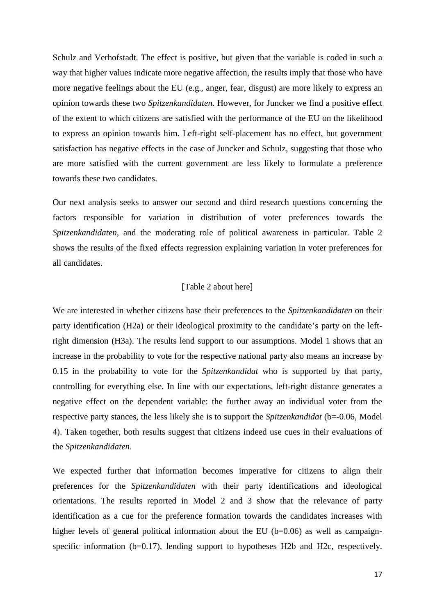Schulz and Verhofstadt. The effect is positive, but given that the variable is coded in such a way that higher values indicate more negative affection, the results imply that those who have more negative feelings about the EU (e.g., anger, fear, disgust) are more likely to express an opinion towards these two *Spitzenkandidaten*. However, for Juncker we find a positive effect of the extent to which citizens are satisfied with the performance of the EU on the likelihood to express an opinion towards him. Left-right self-placement has no effect, but government satisfaction has negative effects in the case of Juncker and Schulz, suggesting that those who are more satisfied with the current government are less likely to formulate a preference towards these two candidates.

Our next analysis seeks to answer our second and third research questions concerning the factors responsible for variation in distribution of voter preferences towards the *Spitzenkandidaten,* and the moderating role of political awareness in particular. Table 2 shows the results of the fixed effects regression explaining variation in voter preferences for all candidates.

#### [Table 2 about here]

We are interested in whether citizens base their preferences to the *Spitzenkandidaten* on their party identification (H2a) or their ideological proximity to the candidate's party on the leftright dimension (H3a). The results lend support to our assumptions. Model 1 shows that an increase in the probability to vote for the respective national party also means an increase by 0.15 in the probability to vote for the *Spitzenkandidat* who is supported by that party, controlling for everything else. In line with our expectations, left-right distance generates a negative effect on the dependent variable: the further away an individual voter from the respective party stances, the less likely she is to support the *Spitzenkandidat* (b=-0.06, Model 4). Taken together, both results suggest that citizens indeed use cues in their evaluations of the *Spitzenkandidaten*.

We expected further that information becomes imperative for citizens to align their preferences for the *Spitzenkandidaten* with their party identifications and ideological orientations. The results reported in Model 2 and 3 show that the relevance of party identification as a cue for the preference formation towards the candidates increases with higher levels of general political information about the EU (b=0.06) as well as campaignspecific information (b=0.17), lending support to hypotheses H2b and H2c, respectively.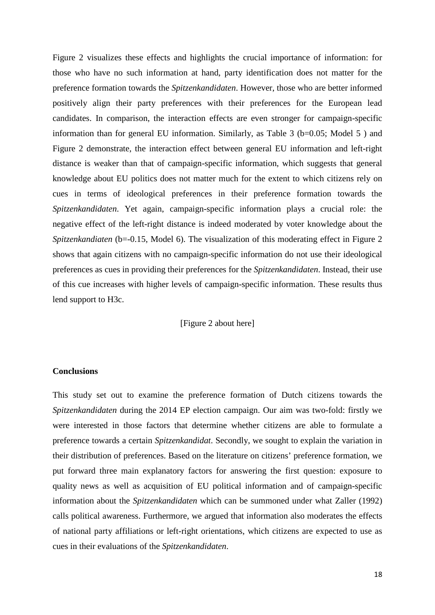Figure 2 visualizes these effects and highlights the crucial importance of information: for those who have no such information at hand, party identification does not matter for the preference formation towards the *Spitzenkandidaten*. However, those who are better informed positively align their party preferences with their preferences for the European lead candidates. In comparison, the interaction effects are even stronger for campaign-specific information than for general EU information. Similarly, as Table 3 ( $b=0.05$ ; Model 5) and Figure 2 demonstrate, the interaction effect between general EU information and left-right distance is weaker than that of campaign-specific information, which suggests that general knowledge about EU politics does not matter much for the extent to which citizens rely on cues in terms of ideological preferences in their preference formation towards the *Spitzenkandidaten*. Yet again, campaign-specific information plays a crucial role: the negative effect of the left-right distance is indeed moderated by voter knowledge about the *Spitzenkandiaten* (b=-0.15, Model 6). The visualization of this moderating effect in Figure 2 shows that again citizens with no campaign-specific information do not use their ideological preferences as cues in providing their preferences for the *Spitzenkandidaten*. Instead, their use of this cue increases with higher levels of campaign-specific information. These results thus lend support to H3c.

[Figure 2 about here]

#### **Conclusions**

This study set out to examine the preference formation of Dutch citizens towards the *Spitzenkandidaten* during the 2014 EP election campaign. Our aim was two-fold: firstly we were interested in those factors that determine whether citizens are able to formulate a preference towards a certain *Spitzenkandidat*. Secondly, we sought to explain the variation in their distribution of preferences. Based on the literature on citizens' preference formation, we put forward three main explanatory factors for answering the first question: exposure to quality news as well as acquisition of EU political information and of campaign-specific information about the *Spitzenkandidaten* which can be summoned under what Zaller (1992) calls political awareness. Furthermore, we argued that information also moderates the effects of national party affiliations or left-right orientations, which citizens are expected to use as cues in their evaluations of the *Spitzenkandidaten*.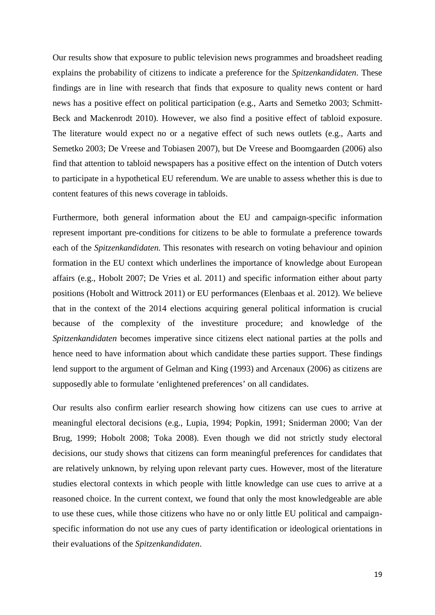Our results show that exposure to public television news programmes and broadsheet reading explains the probability of citizens to indicate a preference for the *Spitzenkandidaten*. These findings are in line with research that finds that exposure to quality news content or hard news has a positive effect on political participation (e.g., Aarts and Semetko 2003; Schmitt-Beck and Mackenrodt 2010). However, we also find a positive effect of tabloid exposure. The literature would expect no or a negative effect of such news outlets (e.g., Aarts and Semetko 2003; De Vreese and Tobiasen 2007), but De Vreese and Boomgaarden (2006) also find that attention to tabloid newspapers has a positive effect on the intention of Dutch voters to participate in a hypothetical EU referendum. We are unable to assess whether this is due to content features of this news coverage in tabloids.

Furthermore, both general information about the EU and campaign-specific information represent important pre-conditions for citizens to be able to formulate a preference towards each of the *Spitzenkandidaten.* This resonates with research on voting behaviour and opinion formation in the EU context which underlines the importance of knowledge about European affairs (e.g., Hobolt 2007; De Vries et al. 2011) and specific information either about party positions (Hobolt and Wittrock 2011) or EU performances (Elenbaas et al. 2012). We believe that in the context of the 2014 elections acquiring general political information is crucial because of the complexity of the investiture procedure; and knowledge of the *Spitzenkandidaten* becomes imperative since citizens elect national parties at the polls and hence need to have information about which candidate these parties support. These findings lend support to the argument of Gelman and King (1993) and Arcenaux (2006) as citizens are supposedly able to formulate 'enlightened preferences' on all candidates.

Our results also confirm earlier research showing how citizens can use cues to arrive at meaningful electoral decisions (e.g., Lupia, 1994; Popkin, 1991; Sniderman 2000; Van der Brug, 1999; Hobolt 2008; Toka 2008). Even though we did not strictly study electoral decisions, our study shows that citizens can form meaningful preferences for candidates that are relatively unknown, by relying upon relevant party cues. However, most of the literature studies electoral contexts in which people with little knowledge can use cues to arrive at a reasoned choice. In the current context, we found that only the most knowledgeable are able to use these cues, while those citizens who have no or only little EU political and campaignspecific information do not use any cues of party identification or ideological orientations in their evaluations of the *Spitzenkandidaten*.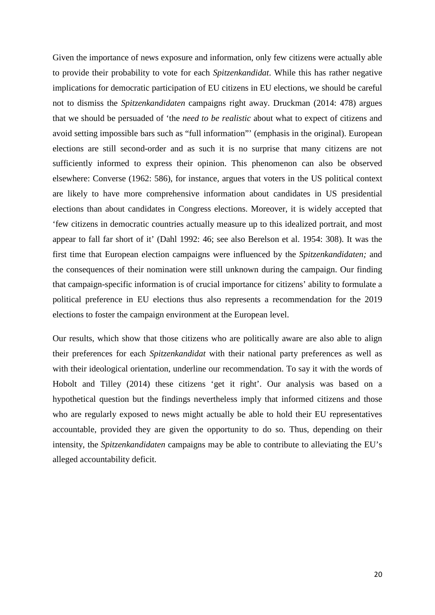Given the importance of news exposure and information, only few citizens were actually able to provide their probability to vote for each *Spitzenkandidat*. While this has rather negative implications for democratic participation of EU citizens in EU elections, we should be careful not to dismiss the *Spitzenkandidaten* campaigns right away. Druckman (2014: 478) argues that we should be persuaded of 'the *need to be realistic* about what to expect of citizens and avoid setting impossible bars such as "full information"' (emphasis in the original). European elections are still second-order and as such it is no surprise that many citizens are not sufficiently informed to express their opinion. This phenomenon can also be observed elsewhere: Converse (1962: 586), for instance, argues that voters in the US political context are likely to have more comprehensive information about candidates in US presidential elections than about candidates in Congress elections. Moreover, it is widely accepted that 'few citizens in democratic countries actually measure up to this idealized portrait, and most appear to fall far short of it' (Dahl 1992: 46; see also Berelson et al. 1954: 308). It was the first time that European election campaigns were influenced by the *Spitzenkandidaten;* and the consequences of their nomination were still unknown during the campaign. Our finding that campaign-specific information is of crucial importance for citizens' ability to formulate a political preference in EU elections thus also represents a recommendation for the 2019 elections to foster the campaign environment at the European level.

Our results, which show that those citizens who are politically aware are also able to align their preferences for each *Spitzenkandidat* with their national party preferences as well as with their ideological orientation, underline our recommendation. To say it with the words of Hobolt and Tilley (2014) these citizens 'get it right'. Our analysis was based on a hypothetical question but the findings nevertheless imply that informed citizens and those who are regularly exposed to news might actually be able to hold their EU representatives accountable, provided they are given the opportunity to do so. Thus, depending on their intensity, the *Spitzenkandidaten* campaigns may be able to contribute to alleviating the EU's alleged accountability deficit.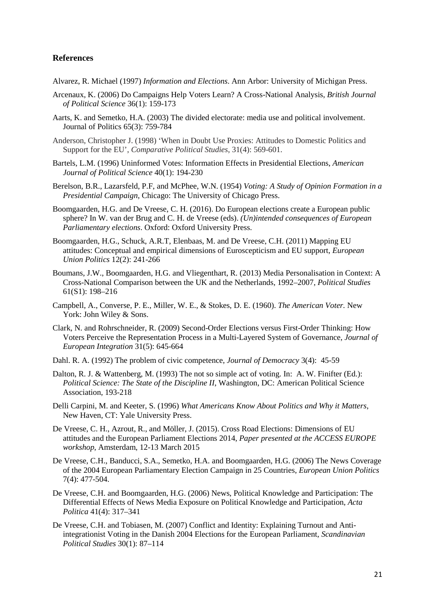#### **References**

Alvarez, R. Michael (1997) *Information and Elections*. Ann Arbor: University of Michigan Press.

- Arcenaux, K. (2006) Do Campaigns Help Voters Learn? A Cross-National Analysis, *British Journal of Political Science* 36(1): 159-173
- Aarts, K. and Semetko, H.A. (2003) The divided electorate: media use and political involvement. Journal of Politics 65(3): 759-784
- Anderson, Christopher J. (1998) 'When in Doubt Use Proxies: Attitudes to Domestic Politics and Support for the EU', *Comparative Political Studies*, 31(4): 569-601.
- Bartels, L.M. (1996) Uninformed Votes: Information Effects in Presidential Elections, *American Journal of Political Science* 40(1): 194-230
- Berelson, B.R., Lazarsfeld, P.F, and McPhee, W.N. (1954) *Voting: A Study of Opinion Formation in a Presidential Campaign*, Chicago: The University of Chicago Press.
- Boomgaarden, H.G. and De Vreese, C. H. (2016). Do European elections create a European public sphere? In W. van der Brug and C. H. de Vreese (eds). *(Un)intended consequences of European Parliamentary elections*. Oxford: Oxford University Press.
- Boomgaarden, H.G., Schuck, A.R.T, Elenbaas, M. and De Vreese, C.H. (2011) Mapping EU attitudes: Conceptual and empirical dimensions of Euroscepticism and EU support, *European Union Politics* 12(2): 241-266
- Boumans, J.W., Boomgaarden, H.G. and Vliegenthart, R. (2013) Media Personalisation in Context: A Cross-National Comparison between the UK and the Netherlands, 1992–2007, *Political Studies* 61(S1): 198–216
- Campbell, A., Converse, P. E., Miller, W. E., & Stokes, D. E. (1960). *The American Voter.* New York: John Wiley & Sons.
- Clark, N. and Rohrschneider, R. (2009) Second-Order Elections versus First-Order Thinking: How Voters Perceive the Representation Process in a Multi-Layered System of Governance, *Journal of European Integration* 31(5): 645-664
- Dahl. R. A. (1992) The problem of civic competence, *Journal of Democracy* 3(4): 45-59
- Dalton, R. J. & Wattenberg, M. (1993) The not so simple act of voting. In: A. W. Finifter (Ed.): *Political Science: The State of the Discipline II*, Washington, DC: American Political Science Association, 193-218
- Delli Carpini, M. and Keeter, S. (1996) *What Americans Know About Politics and Why it Matters*, New Haven, CT: Yale University Press.
- De Vreese, C. H., Azrout, R., and Möller, J. (2015). Cross Road Elections: Dimensions of EU attitudes and the European Parliament Elections 2014, *Paper presented at the ACCESS EUROPE workshop*, Amsterdam, 12-13 March 2015
- De Vreese, C.H., Banducci, S.A., Semetko, H.A. and Boomgaarden, H.G. (2006) The News Coverage of the 2004 European Parliamentary Election Campaign in 25 Countries, *European Union Politics* 7(4): 477-504.
- De Vreese, C.H. and Boomgaarden, H.G. (2006) News, Political Knowledge and Participation: The Differential Effects of News Media Exposure on Political Knowledge and Participation, *Acta Politica* 41(4): 317–341
- De Vreese, C.H. and Tobiasen, M. (2007) Conflict and Identity: Explaining Turnout and Antiintegrationist Voting in the Danish 2004 Elections for the European Parliament, *Scandinavian Political Studies* 30(1): 87–114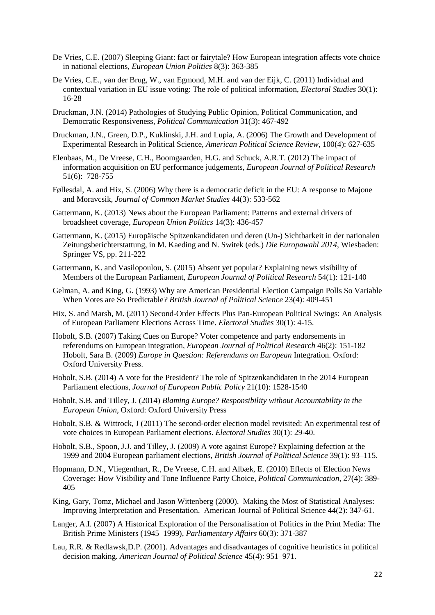- De Vries, C.E. (2007) Sleeping Giant: fact or fairytale? How European integration affects vote choice in national elections, *European Union Politics* 8(3): 363-385
- De Vries, C.E., van der Brug, W., van Egmond, M.H. and van der Eijk, C. (2011) Individual and contextual variation in EU issue voting: The role of political information, *Electoral Studies* 30(1): 16-28
- Druckman, J.N. (2014) Pathologies of Studying Public Opinion, Political Communication, and Democratic Responsiveness, *Political Communication* 31(3): 467-492
- Druckman, J.N., Green, D.P., Kuklinski, J.H. and Lupia, A. (2006) The Growth and Development of Experimental Research in Political Science, *American Political Science Review*, 100(4): 627-635
- Elenbaas, M., De Vreese, C.H., Boomgaarden, H.G. and Schuck, A.R.T. (2012) The impact of information acquisition on EU performance judgements, *European Journal of Political Research* 51(6): 728-755
- Føllesdal, A. and Hix, S. (2006) Why there is a democratic deficit in the EU: A response to Majone and Moravcsik, *Journal of Common Market Studies* 44(3): 533-562
- Gattermann, K. (2013) News about the European Parliament: Patterns and external drivers of broadsheet coverage, *European Union Politics* 14(3): 436-457
- Gattermann, K. (2015) Europäische Spitzenkandidaten und deren (Un-) Sichtbarkeit in der nationalen Zeitungsberichterstattung, in M. Kaeding and N. Switek (eds.) *Die Europawahl 2014*, Wiesbaden: Springer VS, pp. 211-222
- Gattermann, K. and Vasilopoulou, S. (2015) Absent yet popular? Explaining news visibility of Members of the European Parliament, *European Journal of Political Research* 54(1): 121-140
- Gelman, A. and King, G. (1993) Why are American Presidential Election Campaign Polls So Variable When Votes are So Predictable*? British Journal of Political Science* 23(4): 409-451
- Hix, S. and Marsh, M. (2011) Second-Order Effects Plus Pan-European Political Swings: An Analysis of European Parliament Elections Across Time. *Electoral Studies* 30(1): 4-15.
- Hobolt, S.B. (2007) Taking Cues on Europe? Voter competence and party endorsements in referendums on European integration, *European Journal of Political Research* 46(2): 151-182 Hobolt, Sara B. (2009) *Europe in Question: Referendums on European* Integration. Oxford: Oxford University Press.
- Hobolt, S.B. (2014) A vote for the President? The role of Spitzenkandidaten in the 2014 European Parliament elections, *Journal of European Public Policy* 21(10): 1528-1540
- Hobolt, S.B. and Tilley, J. (2014) *Blaming Europe? Responsibility without Accountability in the European Union*, Oxford: Oxford University Press
- Hobolt, S.B. & Wittrock, J (2011) The second-order election model revisited: An experimental test of vote choices in European Parliament elections. *Electoral Studies* 30(1): 29-40.
- Hobolt, S.B., Spoon, J.J. and Tilley, J. (2009) A vote against Europe? Explaining defection at the 1999 and 2004 European parliament elections, *British Journal of Political Science* 39(1): 93–115.
- Hopmann, D.N., Vliegenthart, R., De Vreese, C.H. and Albæk, E. (2010) Effects of Election News Coverage: How Visibility and Tone Influence Party Choice, *Political Communication*, 27(4): 389- 405
- King, Gary, Tomz, Michael and Jason Wittenberg (2000). Making the Most of Statistical Analyses: Improving Interpretation and Presentation. American Journal of Political Science 44(2): 347-61.
- Langer, A.I. (2007) A Historical Exploration of the Personalisation of Politics in the Print Media: The British Prime Ministers (1945–1999), *Parliamentary Affairs* 60(3): 371-387
- Lau, R.R. & Redlawsk,D.P. (2001). Advantages and disadvantages of cognitive heuristics in political decision making. *American Journal of Political Science* 45(4): 951–971.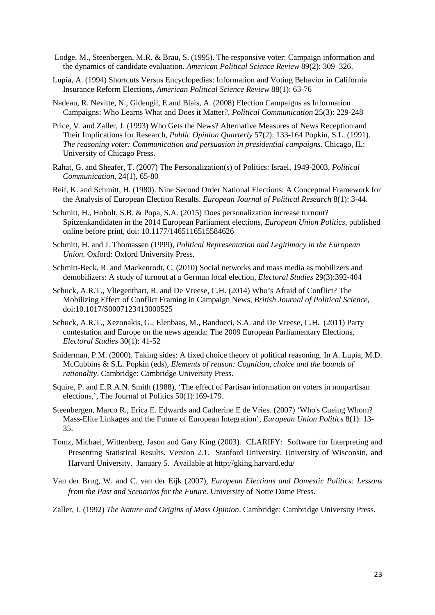- Lodge, M., Steenbergen, M.R. & Brau, S. (1995). The responsive voter: Campaign information and the dynamics of candidate evaluation. *American Political Science Review* 89(2): 309–326.
- Lupia, A. (1994) Shortcuts Versus Encyclopedias: Information and Voting Behavior in California Insurance Reform Elections, *American Political Science Review* 88(1): 63-76
- Nadeau, R. Nevitte, N., Gidengil, E.and Blais, A. (2008) Election Campaigns as Information Campaigns: Who Learns What and Does it Matter?, *Political Communication* 25(3): 229-248
- Price, V. and Zaller, J. (1993) Who Gets the News? Alternative Measures of News Reception and Their Implications for Research, *Public Opinion Quarterly* 57(2): 133-164 Popkin, S.L. (1991). *The reasoning voter: Communication and persuasion in presidential campaigns*. Chicago, IL: University of Chicago Press.
- Rahat, G. and Sheafer, T. (2007) The Personalization(s) of Politics: Israel, 1949-2003, *Political Communication*, 24(1), 65-80
- Reif, K. and Schmitt, H. (1980). Nine Second Order National Elections: A Conceptual Framework for the Analysis of European Election Results. *European Journal of Political Research* 8(1): 3-44.
- Schmitt, H., Hobolt, S.B. & Popa, S.A. (2015) Does personalization increase turnout? Spitzenkandidaten in the 2014 European Parliament elections, *European Union Politics*, published online before print, doi: 10.1177/1465116515584626
- Schmitt, H. and J. Thomassen (1999), *Political Representation and Legitimacy in the European Union*. Oxford: Oxford University Press.
- Schmitt-Beck, R. and Mackenrodt, C. (2010) Social networks and mass media as mobilizers and demobilizers: A study of turnout at a German local election, *Electoral Studies* 29(3):392-404
- Schuck, A.R.T., Vliegenthart, R. and De Vreese, C.H. (2014) Who's Afraid of Conflict? The Mobilizing Effect of Conflict Framing in Campaign News, *British Journal of Political Science*, doi:10.1017/S0007123413000525
- Schuck, A.R.T., Xezonakis, G., Elenbaas, M., Banducci, S.A. and De Vreese, C.H. (2011) Party contestation and Europe on the news agenda: The 2009 European Parliamentary Elections, *Electoral Studies* 30(1): 41-52
- Sniderman, P.M. (2000). Taking sides: A fixed choice theory of political reasoning. In A. Lupia, M.D. McCubbins & S.L. Popkin (eds), *Elements of reason: Cognition, choice and the bounds of rationality*. Cambridge: Cambridge University Press.
- Squire, P. and E.R.A.N. Smith (1988), 'The effect of Partisan information on voters in nonpartisan elections,', The Journal of Politics 50(1):169-179.
- Steenbergen, Marco R., Erica E. Edwards and Catherine E de Vries. (2007) 'Who's Cueing Whom? Mass-Elite Linkages and the Future of European Integration', *European Union Politics* 8(1): 13- 35.
- Tomz, Michael, Wittenberg, Jason and Gary King (2003). CLARIFY: Software for Interpreting and Presenting Statistical Results. Version 2.1. Stanford University, University of Wisconsin, and Harvard University. January 5. Available at http://gking.harvard.edu/
- Van der Brug, W. and C. van der Eijk (2007), *European Elections and Domestic Politics: Lessons from the Past and Scenarios for the Future.* University of Notre Dame Press.
- Zaller, J. (1992) *The Nature and Origins of Mass Opinion*. Cambridge: Cambridge University Press.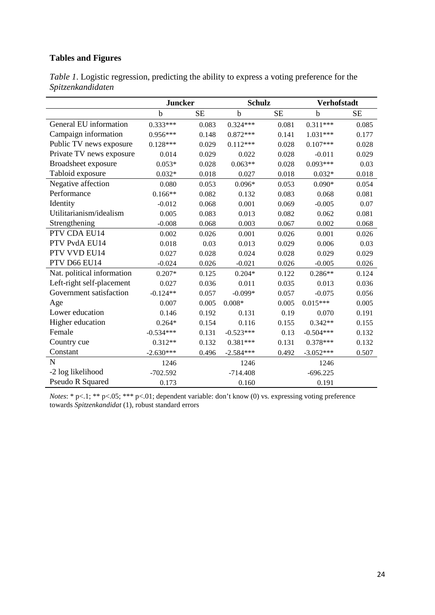## **Tables and Figures**

|                            | <b>Juncker</b> |           | <b>Schulz</b> |           | <b>Verhofstadt</b> |           |  |
|----------------------------|----------------|-----------|---------------|-----------|--------------------|-----------|--|
|                            | $\mathbf b$    | <b>SE</b> | $\mathbf b$   | <b>SE</b> | $\mathbf b$        | <b>SE</b> |  |
| General EU information     | $0.333***$     | 0.083     | $0.324***$    | 0.081     | $0.311***$         | 0.085     |  |
| Campaign information       | $0.956***$     | 0.148     | $0.872***$    | 0.141     | $1.031***$         | 0.177     |  |
| Public TV news exposure    | $0.128***$     | 0.029     | $0.112***$    | 0.028     | $0.107***$         | 0.028     |  |
| Private TV news exposure   | 0.014          | 0.029     | 0.022         | 0.028     | $-0.011$           | 0.029     |  |
| Broadsheet exposure        | $0.053*$       | 0.028     | $0.063**$     | 0.028     | $0.093***$         | 0.03      |  |
| Tabloid exposure           | $0.032*$       | 0.018     | 0.027         | 0.018     | $0.032*$           | 0.018     |  |
| Negative affection         | 0.080          | 0.053     | $0.096*$      | 0.053     | $0.090*$           | 0.054     |  |
| Performance                | $0.166**$      | 0.082     | 0.132         | 0.083     | 0.068              | 0.081     |  |
| Identity                   | $-0.012$       | 0.068     | 0.001         | 0.069     | $-0.005$           | 0.07      |  |
| Utilitarianism/idealism    | 0.005          | 0.083     | 0.013         | 0.082     | 0.062              | 0.081     |  |
| Strengthening              | $-0.008$       | 0.068     | 0.003         | 0.067     | 0.002              | 0.068     |  |
| PTV CDA EU14               | 0.002          | 0.026     | 0.001         | 0.026     | 0.001              | 0.026     |  |
| PTV PvdA EU14              | 0.018          | 0.03      | 0.013         | 0.029     | 0.006              | 0.03      |  |
| PTV VVD EU14               | 0.027          | 0.028     | 0.024         | 0.028     | 0.029              | 0.029     |  |
| PTV D66 EU14               | $-0.024$       | 0.026     | $-0.021$      | 0.026     | $-0.005$           | 0.026     |  |
| Nat. political information | $0.207*$       | 0.125     | $0.204*$      | 0.122     | $0.286**$          | 0.124     |  |
| Left-right self-placement  | 0.027          | 0.036     | 0.011         | 0.035     | 0.013              | 0.036     |  |
| Government satisfaction    | $-0.124**$     | 0.057     | $-0.099*$     | 0.057     | $-0.075$           | 0.056     |  |
| Age                        | 0.007          | 0.005     | $0.008*$      | 0.005     | $0.015***$         | 0.005     |  |
| Lower education            | 0.146          | 0.192     | 0.131         | 0.19      | 0.070              | 0.191     |  |
| Higher education           | $0.264*$       | 0.154     | 0.116         | 0.155     | $0.342**$          | 0.155     |  |
| Female                     | $-0.534***$    | 0.131     | $-0.523***$   | 0.13      | $-0.504***$        | 0.132     |  |
| Country cue                | $0.312**$      | 0.132     | $0.381***$    | 0.131     | $0.378***$         | 0.132     |  |
| Constant                   | $-2.630***$    | 0.496     | $-2.584***$   | 0.492     | $-3.052***$        | 0.507     |  |
| N                          | 1246           |           | 1246          |           | 1246               |           |  |
| -2 log likelihood          | $-702.592$     |           | $-714.408$    |           | $-696.225$         |           |  |
| Pseudo R Squared           | 0.173          |           | 0.160         |           | 0.191              |           |  |

*Table 1*. Logistic regression, predicting the ability to express a voting preference for the *Spitzenkandidaten*

*Notes*: \* p<.1; \*\* p<.05; \*\*\* p<.01; dependent variable: don't know (0) vs. expressing voting preference towards *Spitzenkandidat* (1), robust standard errors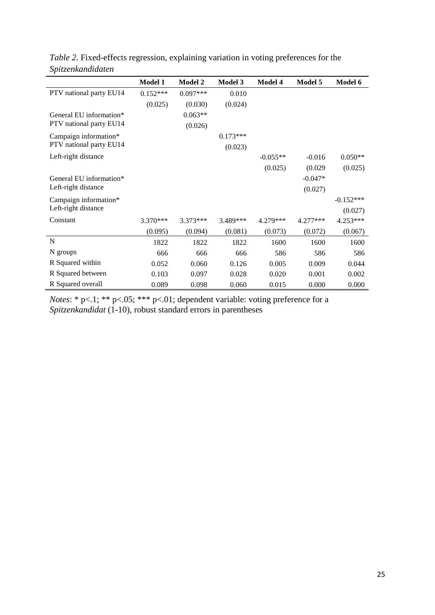|                         |                |                | Model 3    |                |            |             |
|-------------------------|----------------|----------------|------------|----------------|------------|-------------|
|                         | <b>Model 1</b> | <b>Model 2</b> |            | <b>Model 4</b> | Model 5    | Model 6     |
| PTV national party EU14 | $0.152***$     | $0.097***$     | 0.010      |                |            |             |
|                         | (0.025)        | (0.030)        | (0.024)    |                |            |             |
| General EU information* |                | $0.063**$      |            |                |            |             |
| PTV national party EU14 |                | (0.026)        |            |                |            |             |
| Campaign information*   |                |                | $0.173***$ |                |            |             |
| PTV national party EU14 |                |                | (0.023)    |                |            |             |
| Left-right distance     |                |                |            | $-0.055**$     | $-0.016$   | $0.050**$   |
|                         |                |                |            | (0.025)        | (0.029)    | (0.025)     |
| General EU information* |                |                |            |                | $-0.047*$  |             |
| Left-right distance     |                |                |            |                | (0.027)    |             |
| Campaign information*   |                |                |            |                |            | $-0.152***$ |
| Left-right distance     |                |                |            |                |            | (0.027)     |
| Constant                | 3.370***       | $3.373***$     | 3.489***   | 4.279***       | $4.277***$ | 4.253***    |
|                         | (0.095)        | (0.094)        | (0.081)    | (0.073)        | (0.072)    | (0.067)     |
| N                       | 1822           | 1822           | 1822       | 1600           | 1600       | 1600        |
| N groups                | 666            | 666            | 666        | 586            | 586        | 586         |
| R Squared within        | 0.052          | 0.060          | 0.126      | 0.005          | 0.009      | 0.044       |
| R Squared between       | 0.103          | 0.097          | 0.028      | 0.020          | 0.001      | 0.002       |
| R Squared overall       | 0.089          | 0.098          | 0.060      | 0.015          | 0.000      | 0.000       |

*Table 2.* Fixed-effects regression, explaining variation in voting preferences for the *Spitzenkandidaten*

*Notes*: \* p<.1; \*\* p<.05; \*\*\* p<.01; dependent variable: voting preference for a *Spitzenkandidat* (1-10), robust standard errors in parentheses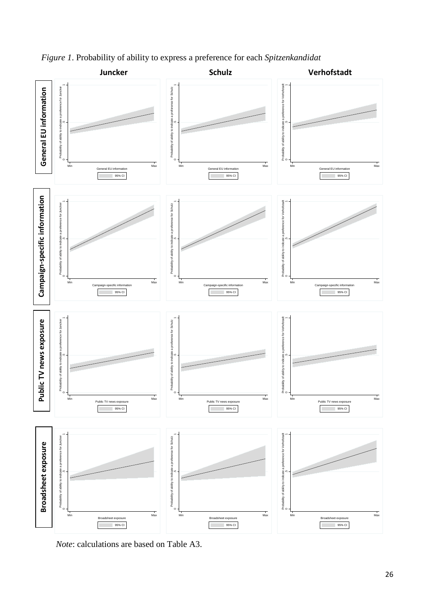

*Figure 1*. Probability of ability to express a preference for each *Spitzenkandidat*

*Note*: calculations are based on Table A3.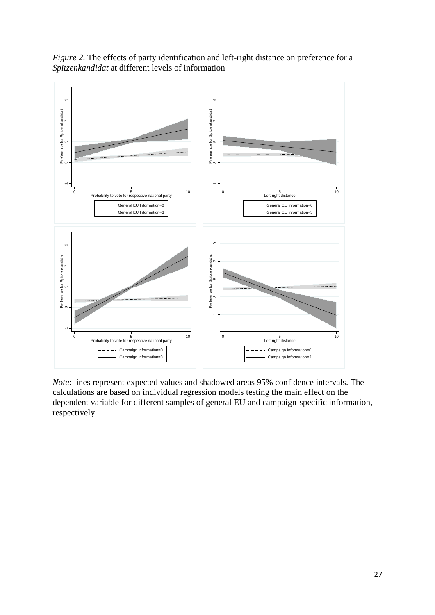

*Figure 2*. The effects of party identification and left-right distance on preference for a *Spitzenkandidat* at different levels of information

*Note*: lines represent expected values and shadowed areas 95% confidence intervals. The calculations are based on individual regression models testing the main effect on the dependent variable for different samples of general EU and campaign-specific information, respectively.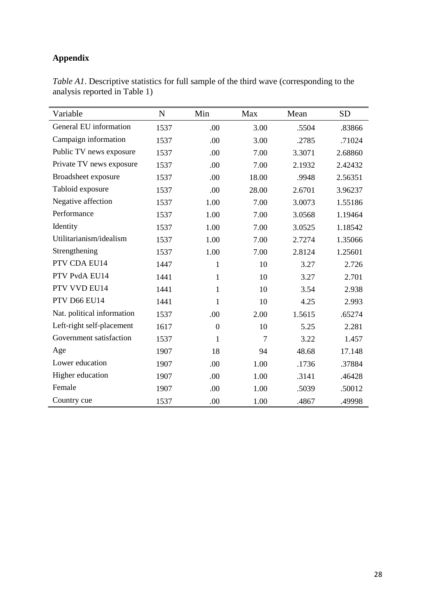# **Appendix**

| Variable                   | $\mathbf N$ | Min              | Max   | Mean   | <b>SD</b> |
|----------------------------|-------------|------------------|-------|--------|-----------|
| General EU information     | 1537        | .00              | 3.00  | .5504  | .83866    |
| Campaign information       | 1537        | .00              | 3.00  | .2785  | .71024    |
| Public TV news exposure    | 1537        | .00              | 7.00  | 3.3071 | 2.68860   |
| Private TV news exposure   | 1537        | .00              | 7.00  | 2.1932 | 2.42432   |
| Broadsheet exposure        | 1537        | .00              | 18.00 | .9948  | 2.56351   |
| Tabloid exposure           | 1537        | .00              | 28.00 | 2.6701 | 3.96237   |
| Negative affection         | 1537        | 1.00             | 7.00  | 3.0073 | 1.55186   |
| Performance                | 1537        | 1.00             | 7.00  | 3.0568 | 1.19464   |
| Identity                   | 1537        | 1.00             | 7.00  | 3.0525 | 1.18542   |
| Utilitarianism/idealism    | 1537        | 1.00             | 7.00  | 2.7274 | 1.35066   |
| Strengthening              | 1537        | 1.00             | 7.00  | 2.8124 | 1.25601   |
| PTV CDA EU14               | 1447        | $\mathbf{1}$     | 10    | 3.27   | 2.726     |
| PTV PvdA EU14              | 1441        | 1                | 10    | 3.27   | 2.701     |
| PTV VVD EU14               | 1441        | 1                | 10    | 3.54   | 2.938     |
| PTV D66 EU14               | 1441        | 1                | 10    | 4.25   | 2.993     |
| Nat. political information | 1537        | .00              | 2.00  | 1.5615 | .65274    |
| Left-right self-placement  | 1617        | $\boldsymbol{0}$ | 10    | 5.25   | 2.281     |
| Government satisfaction    | 1537        | 1                | 7     | 3.22   | 1.457     |
| Age                        | 1907        | 18               | 94    | 48.68  | 17.148    |
| Lower education            | 1907        | .00              | 1.00  | .1736  | .37884    |
| Higher education           | 1907        | .00              | 1.00  | .3141  | .46428    |
| Female                     | 1907        | .00              | 1.00  | .5039  | .50012    |
| Country cue                | 1537        | .00              | 1.00  | .4867  | .49998    |

*Table A1*. Descriptive statistics for full sample of the third wave (corresponding to the analysis reported in Table 1)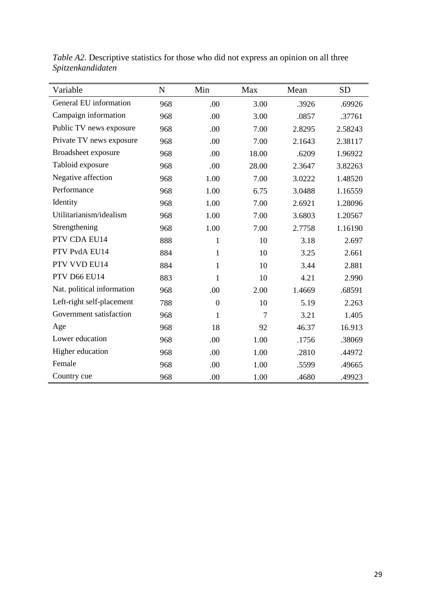| Variable                   | $\mathbf N$ | Min          | Max   | Mean   | <b>SD</b> |
|----------------------------|-------------|--------------|-------|--------|-----------|
| General EU information     | 968         | .00          | 3.00  | .3926  | .69926    |
| Campaign information       | 968         | .00          | 3.00  | .0857  | .37761    |
| Public TV news exposure    | 968         | .00          | 7.00  | 2.8295 | 2.58243   |
| Private TV news exposure   | 968         | .00          | 7.00  | 2.1643 | 2.38117   |
| Broadsheet exposure        | 968         | .00          | 18.00 | .6209  | 1.96922   |
| Tabloid exposure           | 968         | .00          | 28.00 | 2.3647 | 3.82263   |
| Negative affection         | 968         | 1.00         | 7.00  | 3.0222 | 1.48520   |
| Performance                | 968         | 1.00         | 6.75  | 3.0488 | 1.16559   |
| Identity                   | 968         | 1.00         | 7.00  | 2.6921 | 1.28096   |
| Utilitarianism/idealism    | 968         | 1.00         | 7.00  | 3.6803 | 1.20567   |
| Strengthening              | 968         | 1.00         | 7.00  | 2.7758 | 1.16190   |
| PTV CDA EU14               | 888         | $\mathbf{1}$ | 10    | 3.18   | 2.697     |
| PTV PvdA EU14              | 884         | $\mathbf{1}$ | 10    | 3.25   | 2.661     |
| PTV VVD EU14               | 884         | $\mathbf{1}$ | 10    | 3.44   | 2.881     |
| PTV D66 EU14               | 883         | 1            | 10    | 4.21   | 2.990     |
| Nat. political information | 968         | .00          | 2.00  | 1.4669 | .68591    |
| Left-right self-placement  | 788         | $\mathbf{0}$ | 10    | 5.19   | 2.263     |
| Government satisfaction    | 968         | 1            | 7     | 3.21   | 1.405     |
| Age                        | 968         | 18           | 92    | 46.37  | 16.913    |
| Lower education            | 968         | .00          | 1.00  | .1756  | .38069    |
| Higher education           | 968         | .00          | 1.00  | .2810  | .44972    |
| Female                     | 968         | .00          | 1.00  | .5599  | .49665    |
| Country cue                | 968         | .00          | 1.00  | .4680  | .49923    |

*Table A2*. Descriptive statistics for those who did not express an opinion on all three *Spitzenkandidaten*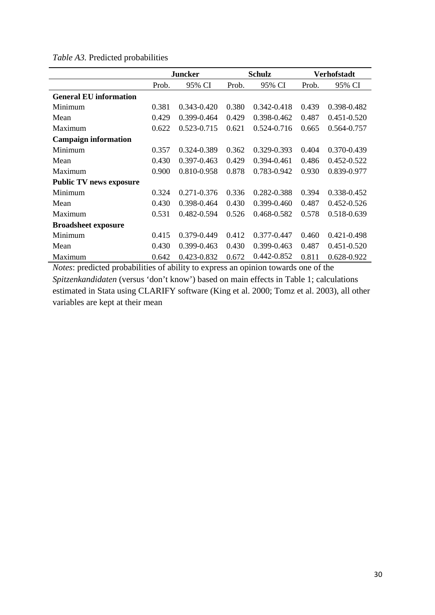*Table A3.* Predicted probabilities

|                                | <b>Juncker</b> |                 |       | <b>Schulz</b>   | Verhofstadt |                 |  |
|--------------------------------|----------------|-----------------|-------|-----------------|-------------|-----------------|--|
|                                | Prob.          | 95% CI          | Prob. | 95% CI          | Prob.       | 95% CI          |  |
| <b>General EU information</b>  |                |                 |       |                 |             |                 |  |
| Minimum                        | 0.381          | 0.343-0.420     | 0.380 | $0.342 - 0.418$ | 0.439       | 0.398-0.482     |  |
| Mean                           | 0.429          | 0.399-0.464     | 0.429 | 0.398-0.462     | 0.487       | $0.451 - 0.520$ |  |
| Maximum                        | 0.622          | 0.523-0.715     | 0.621 | 0.524-0.716     | 0.665       | 0.564-0.757     |  |
| <b>Campaign information</b>    |                |                 |       |                 |             |                 |  |
| Minimum                        | 0.357          | 0.324-0.389     | 0.362 | $0.329 - 0.393$ | 0.404       | 0.370-0.439     |  |
| Mean                           | 0.430          | $0.397 - 0.463$ | 0.429 | $0.394 - 0.461$ | 0.486       | $0.452 - 0.522$ |  |
| Maximum                        | 0.900          | 0.810-0.958     | 0.878 | 0.783-0.942     | 0.930       | 0.839-0.977     |  |
| <b>Public TV news exposure</b> |                |                 |       |                 |             |                 |  |
| Minimum                        | 0.324          | 0.271-0.376     | 0.336 | 0.282-0.388     | 0.394       | 0.338-0.452     |  |
| Mean                           | 0.430          | 0.398-0.464     | 0.430 | 0.399-0.460     | 0.487       | 0.452-0.526     |  |
| Maximum                        | 0.531          | 0.482-0.594     | 0.526 | 0.468-0.582     | 0.578       | 0.518-0.639     |  |
| <b>Broadsheet exposure</b>     |                |                 |       |                 |             |                 |  |
| Minimum                        | 0.415          | 0.379-0.449     | 0.412 | 0.377-0.447     | 0.460       | 0.421-0.498     |  |
| Mean                           | 0.430          | 0.399-0.463     | 0.430 | 0.399-0.463     | 0.487       | 0.451-0.520     |  |
| Maximum                        | 0.642          | 0.423-0.832     | 0.672 | 0.442-0.852     | 0.811       | 0.628-0.922     |  |

*Notes*: predicted probabilities of ability to express an opinion towards one of the *Spitzenkandidaten* (versus 'don't know') based on main effects in Table 1; calculations estimated in Stata using CLARIFY software (King et al. 2000; Tomz et al. 2003), all other variables are kept at their mean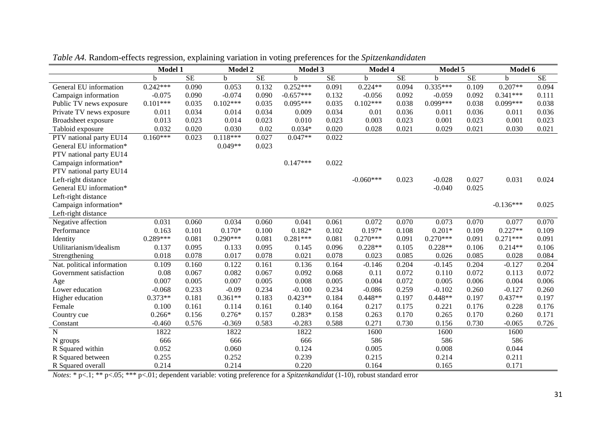|                            | <b>Model 1</b> |           | <b>Model 2</b> |          | Model 3     |           | Model 4     |           | Model 5    |           | Model 6     |           |
|----------------------------|----------------|-----------|----------------|----------|-------------|-----------|-------------|-----------|------------|-----------|-------------|-----------|
|                            | h              | <b>SE</b> | h              | $\rm SE$ | b           | <b>SE</b> | b           | <b>SE</b> | b.         | <b>SE</b> | b           | <b>SE</b> |
| General EU information     | $0.242***$     | 0.090     | 0.053          | 0.132    | $0.252***$  | 0.091     | $0.224**$   | 0.094     | $0.335***$ | 0.109     | $0.207**$   | 0.094     |
| Campaign information       | $-0.075$       | 0.090     | $-0.074$       | 0.090    | $-0.657***$ | 0.132     | $-0.056$    | 0.092     | $-0.059$   | 0.092     | $0.341***$  | 0.111     |
| Public TV news exposure    | $0.101***$     | 0.035     | $0.102***$     | 0.035    | $0.095***$  | 0.035     | $0.102***$  | 0.038     | $0.099***$ | 0.038     | $0.099***$  | 0.038     |
| Private TV news exposure   | 0.011          | 0.034     | 0.014          | 0.034    | 0.009       | 0.034     | 0.01        | 0.036     | 0.011      | 0.036     | 0.011       | 0.036     |
| Broadsheet exposure        | 0.013          | 0.023     | 0.014          | 0.023    | 0.010       | 0.023     | 0.003       | 0.023     | 0.001      | 0.023     | 0.001       | 0.023     |
| Tabloid exposure           | 0.032          | 0.020     | 0.030          | 0.02     | $0.034*$    | 0.020     | 0.028       | 0.021     | 0.029      | 0.021     | 0.030       | 0.021     |
| PTV national party EU14    | $0.160***$     | 0.023     | $0.118***$     | 0.027    | $0.047**$   | 0.022     |             |           |            |           |             |           |
| General EU information*    |                |           | $0.049**$      | 0.023    |             |           |             |           |            |           |             |           |
| PTV national party EU14    |                |           |                |          |             |           |             |           |            |           |             |           |
| Campaign information*      |                |           |                |          | $0.147***$  | 0.022     |             |           |            |           |             |           |
| PTV national party EU14    |                |           |                |          |             |           |             |           |            |           |             |           |
| Left-right distance        |                |           |                |          |             |           | $-0.060***$ | 0.023     | $-0.028$   | 0.027     | 0.031       | 0.024     |
| General EU information*    |                |           |                |          |             |           |             |           | $-0.040$   | 0.025     |             |           |
| Left-right distance        |                |           |                |          |             |           |             |           |            |           |             |           |
| Campaign information*      |                |           |                |          |             |           |             |           |            |           | $-0.136***$ | 0.025     |
| Left-right distance        |                |           |                |          |             |           |             |           |            |           |             |           |
| Negative affection         | 0.031          | 0.060     | 0.034          | 0.060    | 0.041       | 0.061     | 0.072       | 0.070     | 0.073      | 0.070     | 0.077       | 0.070     |
| Performance                | 0.163          | 0.101     | $0.170*$       | 0.100    | $0.182*$    | 0.102     | $0.197*$    | 0.108     | $0.201*$   | 0.109     | $0.227**$   | 0.109     |
| Identity                   | $0.289***$     | 0.081     | $0.290***$     | 0.081    | $0.281***$  | 0.081     | $0.270***$  | 0.091     | $0.270***$ | 0.091     | $0.271***$  | 0.091     |
| Utilitarianism/idealism    | 0.137          | 0.095     | 0.133          | 0.095    | 0.145       | 0.096     | $0.228**$   | 0.105     | $0.228**$  | 0.106     | $0.214**$   | 0.106     |
| Strengthening              | 0.018          | 0.078     | 0.017          | 0.078    | 0.021       | 0.078     | 0.023       | 0.085     | 0.026      | 0.085     | 0.028       | 0.084     |
| Nat. political information | 0.109          | 0.160     | 0.122          | 0.161    | 0.136       | 0.164     | $-0.146$    | 0.204     | $-0.145$   | 0.204     | $-0.127$    | 0.204     |
| Government satisfaction    | 0.08           | 0.067     | 0.082          | 0.067    | 0.092       | 0.068     | 0.11        | 0.072     | 0.110      | 0.072     | 0.113       | 0.072     |
| Age                        | 0.007          | 0.005     | 0.007          | 0.005    | 0.008       | 0.005     | 0.004       | 0.072     | 0.005      | 0.006     | 0.004       | 0.006     |
| Lower education            | $-0.068$       | 0.233     | $-0.09$        | 0.234    | $-0.100$    | 0.234     | $-0.086$    | 0.259     | $-0.102$   | 0.260     | $-0.127$    | 0.260     |
| Higher education           | $0.373**$      | 0.181     | $0.361**$      | 0.183    | $0.423**$   | 0.184     | $0.448**$   | 0.197     | $0.448**$  | 0.197     | $0.437**$   | 0.197     |
| Female                     | 0.100          | 0.161     | 0.114          | 0.161    | 0.140       | 0.164     | 0.217       | 0.175     | 0.221      | 0.176     | 0.228       | 0.176     |
| Country cue                | $0.266*$       | 0.156     | $0.276*$       | 0.157    | $0.283*$    | 0.158     | 0.263       | 0.170     | 0.265      | 0.170     | 0.260       | 0.171     |
| Constant                   | $-0.460$       | 0.576     | $-0.369$       | 0.583    | $-0.283$    | 0.588     | 0.271       | 0.730     | 0.156      | 0.730     | $-0.065$    | 0.726     |
| $\overline{N}$             | 1822           |           | 1822           |          | 1822        |           | 1600        |           | 1600       |           | 1600        |           |
| N groups                   | 666            |           | 666            |          | 666         |           | 586         |           | 586        |           | 586         |           |
| R Squared within           | 0.052          |           | 0.060          |          | 0.124       |           | 0.005       |           | 0.008      |           | 0.044       |           |
| R Squared between          | 0.255          |           | 0.252          |          | 0.239       |           | 0.215       |           | 0.214      |           | 0.211       |           |
| R Squared overall          | 0.214          |           | 0.214          |          | 0.220       |           | 0.164       |           | 0.165      |           | 0.171       |           |

*Table A4.* Random-effects regression, explaining variation in voting preferences for the *Spitzenkandidaten*

*Notes*: \* p<.1; \*\* p<.05; \*\*\* p<.01; dependent variable: voting preference for a *Spitzenkandidat* (1-10), robust standard error